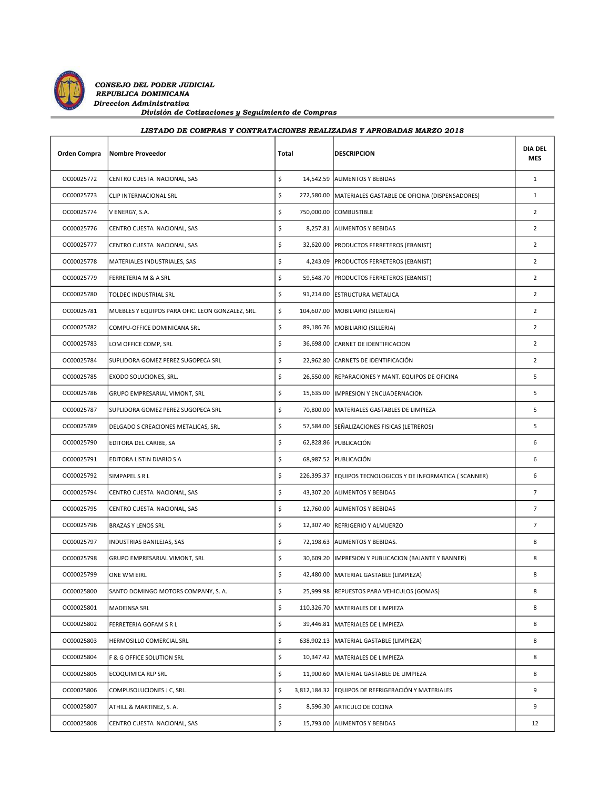

## LISTADO DE COMPRAS Y CONTRATACIONES REALIZADAS Y APROBADAS MARZO 2018

| Orden Compra | <b>Nombre Proveedor</b>                          | Total | <b>DESCRIPCION</b>                                          | <b>DIA DEL</b><br><b>MES</b> |
|--------------|--------------------------------------------------|-------|-------------------------------------------------------------|------------------------------|
| OC00025772   | CENTRO CUESTA NACIONAL, SAS                      | \$    | 14,542.59 ALIMENTOS Y BEBIDAS                               | $\mathbf{1}$                 |
| OC00025773   | CLIP INTERNACIONAL SRL                           | \$    | 272,580.00   MATERIALES GASTABLE DE OFICINA (DISPENSADORES) | $\mathbf{1}$                 |
| OC00025774   | V ENERGY, S.A.                                   | \$    | 750,000.00 COMBUSTIBLE                                      | $\overline{2}$               |
| OC00025776   | CENTRO CUESTA NACIONAL, SAS                      | \$    | 8,257.81 ALIMENTOS Y BEBIDAS                                | $\overline{2}$               |
| OC00025777   | CENTRO CUESTA NACIONAL, SAS                      | \$    | 32,620.00   PRODUCTOS FERRETEROS (EBANIST)                  | $\overline{2}$               |
| OC00025778   | MATERIALES INDUSTRIALES, SAS                     | \$    | 4,243.09   PRODUCTOS FERRETEROS (EBANIST)                   | $\overline{2}$               |
| OC00025779   | FERRETERIA M & A SRL                             | \$    | 59,548.70   PRODUCTOS FERRETEROS (EBANIST)                  | $\overline{2}$               |
| OC00025780   | TOLDEC INDUSTRIAL SRL                            | \$    | 91,214.00 ESTRUCTURA METALICA                               | $\overline{2}$               |
| OC00025781   | MUEBLES Y EQUIPOS PARA OFIC. LEON GONZALEZ, SRL. | \$    | 104,607.00   MOBILIARIO (SILLERIA)                          | $\overline{2}$               |
| OC00025782   | COMPU-OFFICE DOMINICANA SRL                      | \$    | 89,186.76   MOBILIARIO (SILLERIA)                           | $\overline{2}$               |
| OC00025783   | LOM OFFICE COMP, SRL                             | \$    | 36,698.00 CARNET DE IDENTIFICACION                          | $\overline{2}$               |
| OC00025784   | SUPLIDORA GOMEZ PEREZ SUGOPECA SRL               | \$    | 22,962.80 CARNETS DE IDENTIFICACIÓN                         | $\overline{2}$               |
| OC00025785   | EXODO SOLUCIONES, SRL.                           | \$    | 26,550.00 REPARACIONES Y MANT. EQUIPOS DE OFICINA           | 5                            |
| OC00025786   | GRUPO EMPRESARIAL VIMONT, SRL                    | \$    | 15,635.00  IMPRESION Y ENCUADERNACION                       | 5                            |
| OC00025787   | SUPLIDORA GOMEZ PEREZ SUGOPECA SRL               | \$    | 70,800.00   MATERIALES GASTABLES DE LIMPIEZA                | 5                            |
| OC00025789   | DELGADO S CREACIONES METALICAS, SRL              | \$    | 57,584.00 SEÑALIZACIONES FISICAS (LETREROS)                 | 5                            |
| OC00025790   | EDITORA DEL CARIBE, SA                           | \$    | 62,828.86 PUBLICACIÓN                                       | 6                            |
| OC00025791   | EDITORA LISTIN DIARIO S A                        | \$    | 68,987.52 PUBLICACIÓN                                       | 6                            |
| OC00025792   | SIMPAPEL S R L                                   | \$    | 226,395.37 EQUIPOS TECNOLOGICOS Y DE INFORMATICA (SCANNER)  | 6                            |
| OC00025794   | CENTRO CUESTA NACIONAL, SAS                      | \$    | 43,307.20 ALIMENTOS Y BEBIDAS                               | $\overline{7}$               |
| OC00025795   | CENTRO CUESTA NACIONAL, SAS                      | \$    | 12,760.00 ALIMENTOS Y BEBIDAS                               | $\overline{7}$               |
| OC00025796   | <b>BRAZAS Y LENOS SRL</b>                        | \$    | 12,307.40 REFRIGERIO Y ALMUERZO                             | $\overline{7}$               |
| OC00025797   | INDUSTRIAS BANILEJAS, SAS                        | \$    | 72,198.63 ALIMENTOS Y BEBIDAS.                              | 8                            |
| OC00025798   | GRUPO EMPRESARIAL VIMONT, SRL                    | \$    | 30,609.20  IMPRESION Y PUBLICACION (BAJANTE Y BANNER)       | 8                            |
| OC00025799   | ONE WM EIRL                                      | \$    | 42,480.00   MATERIAL GASTABLE (LIMPIEZA)                    | 8                            |
| OC00025800   | SANTO DOMINGO MOTORS COMPANY, S. A.              | \$    | 25,999.98 REPUESTOS PARA VEHICULOS (GOMAS)                  | 8                            |
| OC00025801   | MADEINSA SRL                                     | \$    | 110,326.70   MATERIALES DE LIMPIEZA                         | 8                            |
| OC00025802   | FERRETERIA GOFAM S R L                           | \$    | 39,446.81   MATERIALES DE LIMPIEZA                          | 8                            |
| OC00025803   | HERMOSILLO COMERCIAL SRL                         | \$    | 638,902.13   MATERIAL GASTABLE (LIMPIEZA)                   | 8                            |
| OC00025804   | F & G OFFICE SOLUTION SRL                        | \$    | 10,347.42   MATERIALES DE LIMPIEZA                          | 8                            |
| OC00025805   | ECOQUIMICA RLP SRL                               | \$    | 11,900.60 MATERIAL GASTABLE DE LIMPIEZA                     | 8                            |
| OC00025806   | COMPUSOLUCIONES J C, SRL.                        | \$    | 3,812,184.32 EQUIPOS DE REFRIGERACIÓN Y MATERIALES          | 9                            |
| OC00025807   | ATHILL & MARTINEZ, S. A.                         | \$    | 8,596.30 ARTICULO DE COCINA                                 | 9                            |
| OC00025808   | CENTRO CUESTA NACIONAL, SAS                      | \$    | 15,793.00 ALIMENTOS Y BEBIDAS                               | 12                           |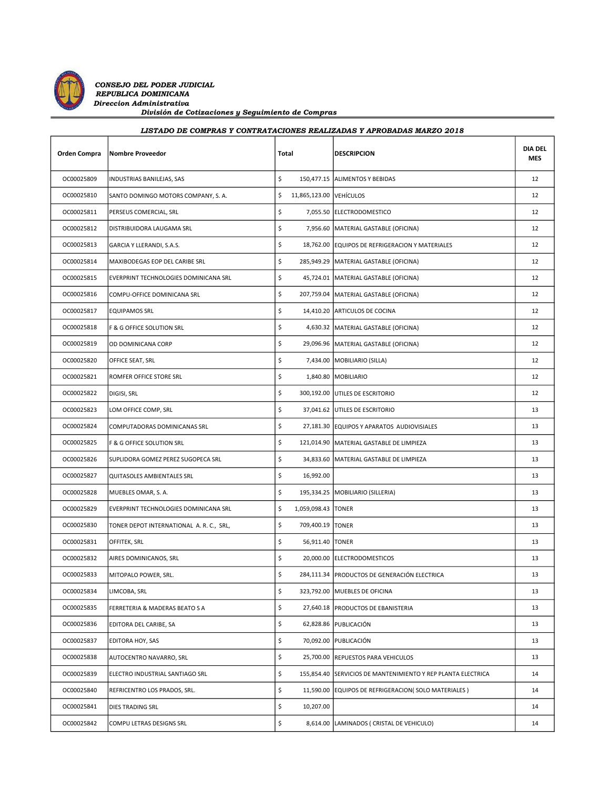

## LISTADO DE COMPRAS Y CONTRATACIONES REALIZADAS Y APROBADAS MARZO 2018

| Orden Compra | <b>Nombre Proveedor</b>                  | Total                         | <b>DESCRIPCION</b>                                           | <b>DIA DEL</b><br><b>MES</b> |
|--------------|------------------------------------------|-------------------------------|--------------------------------------------------------------|------------------------------|
| OC00025809   | INDUSTRIAS BANILEJAS, SAS                | \$                            | 150,477.15   ALIMENTOS Y BEBIDAS                             | 12                           |
| OC00025810   | SANTO DOMINGO MOTORS COMPANY, S. A.      | \$<br>11,865,123.00 VEHÍCULOS |                                                              | 12                           |
| OC00025811   | PERSEUS COMERCIAL, SRL                   | \$                            | 7,055.50 ELECTRODOMESTICO                                    | 12                           |
| OC00025812   | DISTRIBUIDORA LAUGAMA SRL                | \$                            | 7,956.60   MATERIAL GASTABLE (OFICINA)                       | 12                           |
| OC00025813   | GARCIA Y LLERANDI, S.A.S.                | \$                            | 18,762.00 EQUIPOS DE REFRIGERACION Y MATERIALES              | 12                           |
| OC00025814   | MAXIBODEGAS EOP DEL CARIBE SRL           | \$                            | 285,949.29   MATERIAL GASTABLE (OFICINA)                     | 12                           |
| OC00025815   | EVERPRINT TECHNOLOGIES DOMINICANA SRL    | \$                            | 45,724.01   MATERIAL GASTABLE (OFICINA)                      | 12                           |
| OC00025816   | COMPU-OFFICE DOMINICANA SRL              | \$                            | 207,759.04   MATERIAL GASTABLE (OFICINA)                     | 12                           |
| OC00025817   | <b>EQUIPAMOS SRL</b>                     | \$                            | 14,410.20 ARTICULOS DE COCINA                                | 12                           |
| OC00025818   | F & G OFFICE SOLUTION SRL                | \$                            | 4,630.32   MATERIAL GASTABLE (OFICINA)                       | 12                           |
| OC00025819   | OD DOMINICANA CORP                       | \$                            | 29,096.96   MATERIAL GASTABLE (OFICINA)                      | 12                           |
| OC00025820   | OFFICE SEAT, SRL                         | \$                            | 7,434.00   MOBILIARIO (SILLA)                                | 12                           |
| OC00025821   | ROMFER OFFICE STORE SRL                  | \$                            | 1,840.80 MOBILIARIO                                          | 12                           |
| OC00025822   | DIGISI, SRL                              | \$                            | 300,192.00 UTILES DE ESCRITORIO                              | 12                           |
| OC00025823   | LOM OFFICE COMP, SRL                     | \$                            | 37,041.62 UTILES DE ESCRITORIO                               | 13                           |
| OC00025824   | COMPUTADORAS DOMINICANAS SRL             | \$                            | 27,181.30 EQUIPOS Y APARATOS AUDIOVISIALES                   | 13                           |
| OC00025825   | F & G OFFICE SOLUTION SRL                | \$                            | 121,014.90   MATERIAL GASTABLE DE LIMPIEZA                   | 13                           |
| OC00025826   | SUPLIDORA GOMEZ PEREZ SUGOPECA SRL       | \$                            | 34,833.60   MATERIAL GASTABLE DE LIMPIEZA                    | 13                           |
| OC00025827   | QUITASOLES AMBIENTALES SRL               | \$<br>16,992.00               |                                                              | 13                           |
| OC00025828   | MUEBLES OMAR, S. A.                      | \$                            | 195,334.25   MOBILIARIO (SILLERIA)                           | 13                           |
| OC00025829   | EVERPRINT TECHNOLOGIES DOMINICANA SRL    | \$<br>1,059,098.43   TONER    |                                                              | 13                           |
| OC00025830   | TONER DEPOT INTERNATIONAL A. R. C., SRL, | \$<br>709,400.19   TONER      |                                                              | 13                           |
| OC00025831   | OFFITEK, SRL                             | \$<br>56,911.40 TONER         |                                                              | 13                           |
| OC00025832   | AIRES DOMINICANOS, SRL                   | \$                            | 20,000.00 ELECTRODOMESTICOS                                  | 13                           |
| OC00025833   | MITOPALO POWER, SRL.                     | \$                            | 284,111.34   PRODUCTOS DE GENERACIÓN ELECTRICA               | 13                           |
| OC00025834   | LIMCOBA, SRL                             | \$                            | 323,792.00 MUEBLES DE OFICINA                                | 13                           |
| OC00025835   | FERRETERIA & MADERAS BEATO S A           | \$                            | 27,640.18 PRODUCTOS DE EBANISTERIA                           | 13                           |
| OC00025836   | EDITORA DEL CARIBE, SA                   | \$                            | 62,828.86 PUBLICACIÓN                                        | 13                           |
| OC00025837   | EDITORA HOY, SAS                         | \$                            | 70,092.00 PUBLICACIÓN                                        | 13                           |
| OC00025838   | AUTOCENTRO NAVARRO, SRL                  | \$                            | 25,700.00 REPUESTOS PARA VEHICULOS                           | 13                           |
| OC00025839   | ELECTRO INDUSTRIAL SANTIAGO SRL          | \$                            | 155,854.40 SERVICIOS DE MANTENIMIENTO Y REP PLANTA ELECTRICA | 14                           |
| OC00025840   | REFRICENTRO LOS PRADOS, SRL.             | \$                            | 11,590.00 EQUIPOS DE REFRIGERACION(SOLO MATERIALES)          | 14                           |
| OC00025841   | DIES TRADING SRL                         | \$<br>10,207.00               |                                                              | 14                           |
| OC00025842   | COMPU LETRAS DESIGNS SRL                 | \$                            | 8,614.00 LAMINADOS ( CRISTAL DE VEHICULO)                    | 14                           |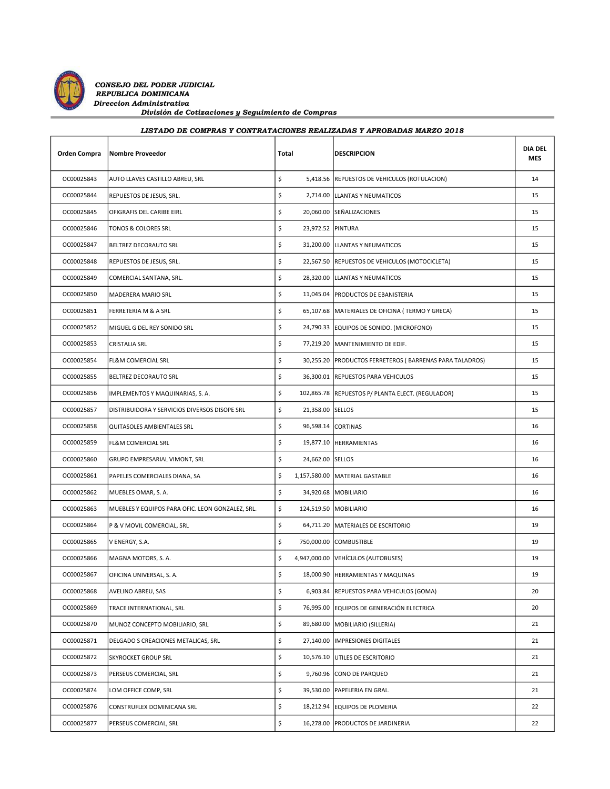

## LISTADO DE COMPRAS Y CONTRATACIONES REALIZADAS Y APROBADAS MARZO 2018

| Orden Compra | <b>Nombre Proveedor</b>                          | Total                   | <b>DESCRIPCION</b>                                        | <b>DIA DEL</b><br><b>MES</b> |
|--------------|--------------------------------------------------|-------------------------|-----------------------------------------------------------|------------------------------|
| OC00025843   | AUTO LLAVES CASTILLO ABREU, SRL                  | \$                      | 5,418.56  REPUESTOS DE VEHICULOS (ROTULACION)             | 14                           |
| OC00025844   | REPUESTOS DE JESUS, SRL.                         | \$                      | 2,714.00   LLANTAS Y NEUMATICOS                           | 15                           |
| OC00025845   | OFIGRAFIS DEL CARIBE EIRL                        | \$                      | 20,060.00 SEÑALIZACIONES                                  | 15                           |
| OC00025846   | TONOS & COLORES SRL                              | \$<br>23,972.52 PINTURA |                                                           | 15                           |
| OC00025847   | BELTREZ DECORAUTO SRL                            | \$                      | 31,200.00 LLANTAS Y NEUMATICOS                            | 15                           |
| OC00025848   | REPUESTOS DE JESUS, SRL.                         | \$                      | 22,567.50 REPUESTOS DE VEHICULOS (MOTOCICLETA)            | 15                           |
| OC00025849   | COMERCIAL SANTANA, SRL.                          | \$                      | 28,320.00 LLANTAS Y NEUMATICOS                            | 15                           |
| OC00025850   | MADERERA MARIO SRL                               | \$                      | 11,045.04   PRODUCTOS DE EBANISTERIA                      | 15                           |
| OC00025851   | FERRETERIA M & A SRL                             | \$                      | 65,107.68   MATERIALES DE OFICINA ( TERMO Y GRECA)        | 15                           |
| OC00025852   | MIGUEL G DEL REY SONIDO SRL                      | \$                      | 24,790.33 EQUIPOS DE SONIDO. (MICROFONO)                  | 15                           |
| OC00025853   | <b>CRISTALIA SRL</b>                             | \$                      | 77,219.20   MANTENIMIENTO DE EDIF.                        | 15                           |
| OC00025854   | FL&M COMERCIAL SRL                               | \$                      | 30,255.20   PRODUCTOS FERRETEROS (BARRENAS PARA TALADROS) | 15                           |
| OC00025855   | BELTREZ DECORAUTO SRL                            | \$                      | 36,300.01   REPUESTOS PARA VEHICULOS                      | 15                           |
| OC00025856   | IMPLEMENTOS Y MAQUINARIAS, S. A.                 | \$                      | 102,865.78  REPUESTOS P/ PLANTA ELECT. (REGULADOR)        | 15                           |
| OC00025857   | DISTRIBUIDORA Y SERVICIOS DIVERSOS DISOPE SRL    | \$<br>21,358.00 SELLOS  |                                                           | 15                           |
| OC00025858   | QUITASOLES AMBIENTALES SRL                       | \$                      | 96,598.14 CORTINAS                                        | 16                           |
| OC00025859   | <b>FL&amp;M COMERCIAL SRL</b>                    | \$                      | 19,877.10 HERRAMIENTAS                                    | 16                           |
| OC00025860   | GRUPO EMPRESARIAL VIMONT, SRL                    | \$<br>24,662.00 SELLOS  |                                                           | 16                           |
| OC00025861   | PAPELES COMERCIALES DIANA, SA                    | \$                      | 1,157,580.00 MATERIAL GASTABLE                            | 16                           |
| OC00025862   | MUEBLES OMAR, S. A.                              | \$                      | 34,920.68   MOBILIARIO                                    | 16                           |
| OC00025863   | MUEBLES Y EQUIPOS PARA OFIC. LEON GONZALEZ, SRL. | \$                      | 124,519.50   MOBILIARIO                                   | 16                           |
| OC00025864   | P & V MOVIL COMERCIAL, SRL                       | \$                      | 64,711.20 MATERIALES DE ESCRITORIO                        | 19                           |
| OC00025865   | V ENERGY, S.A.                                   | \$                      | 750,000.00 COMBUSTIBLE                                    | 19                           |
| OC00025866   | MAGNA MOTORS, S. A.                              | \$                      | 4,947,000.00   VEHÍCULOS (AUTOBUSES)                      | 19                           |
| OC00025867   | OFICINA UNIVERSAL, S. A.                         | \$                      | 18,000.90   HERRAMIENTAS Y MAQUINAS                       | 19                           |
| OC00025868   | AVELINO ABREU, SAS                               | \$                      | 6,903.84   REPUESTOS PARA VEHICULOS (GOMA)                | 20                           |
| OC00025869   | TRACE INTERNATIONAL, SRL                         | \$                      | 76,995.00 EQUIPOS DE GENERACIÓN ELECTRICA                 | 20                           |
| OC00025870   | MUNOZ CONCEPTO MOBILIARIO, SRL                   | \$                      | 89,680.00 MOBILIARIO (SILLERIA)                           | 21                           |
| OC00025871   | DELGADO S CREACIONES METALICAS, SRL              | \$                      | 27,140.00  IMPRESIONES DIGITALES                          | 21                           |
| OC00025872   | <b>SKYROCKET GROUP SRL</b>                       | \$                      | 10,576.10 UTILES DE ESCRITORIO                            | 21                           |
| OC00025873   | PERSEUS COMERCIAL, SRL                           | \$<br>9,760.96          | CONO DE PARQUEO                                           | 21                           |
| OC00025874   | LOM OFFICE COMP, SRL                             | \$                      | 39,530.00 PAPELERIA EN GRAL.                              | 21                           |
| OC00025876   | CONSTRUFLEX DOMINICANA SRL                       | \$                      | 18,212.94 EQUIPOS DE PLOMERIA                             | 22                           |
| OC00025877   | PERSEUS COMERCIAL, SRL                           | \$                      | 16,278.00 PRODUCTOS DE JARDINERIA                         | 22                           |